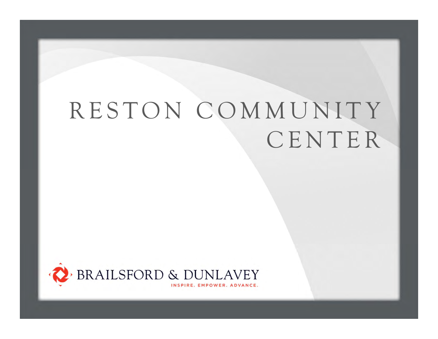# RESTON COMMUNITY CENTER

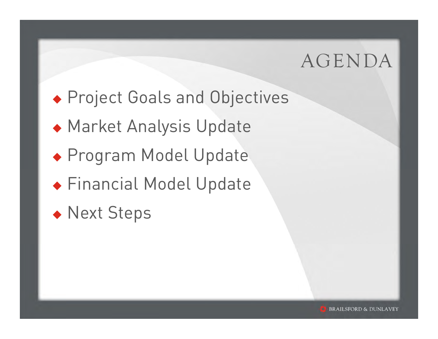# AGENDA

- Project Goals and Objectives
- Market Analysis Update
- Program Model Update
- Financial Model Update
- ◆ Next Steps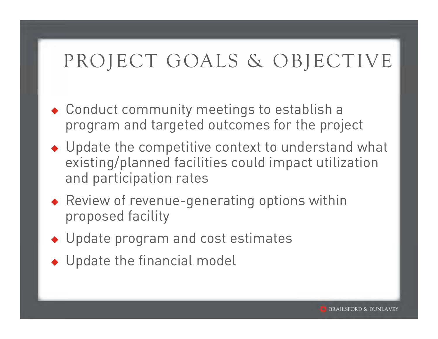## PROJECT GOALS & OBJECTIVE

- Conduct community meetings to establish a program and targeted outcomes for the project
- ◆ Update the competitive context to understand what existing/planned facilities could impact utilization and participation rates
- Review of revenue-generating options within proposed facility
- ◆ Update program and cost estimates
- ◆ Update the financial model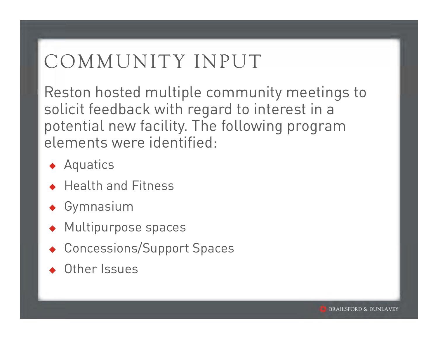Reston hosted multiple community meetings to solicit feedback with regard to interest in a potential new facility. The following program elements were identified:

- ◆ Aquatics
- ◆ Health and Fitness
- Gymnasium
- Multipurpose spaces
- ◆ Concessions/Support Spaces
- ♦ Other Issues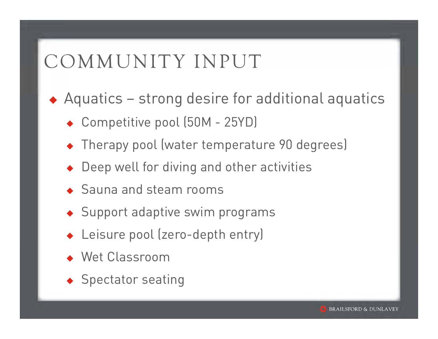- $\blacklozenge$  Aquatics strong desire for additional aquatics
	- Competitive pool (50M 25YD)
	- Therapy pool (water temperature 90 degrees)
	- ♦ Deep well for diving and other activities
	- ◆ Sauna and steam rooms
	- ◆ Support adaptive swim programs
	- Leisure pool (zero-depth entry)
	- Wet Classroom
	- ◆ Spectator seating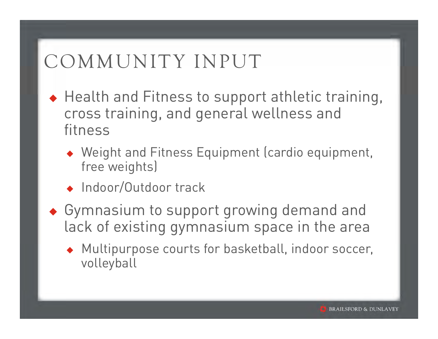- $\blacklozenge$  Health and Fitness to support athletic training, cross training, and general wellness and fitness
	- Weight and Fitness Equipment (cardio equipment, free weights)
	- ◆ Indoor/Outdoor track
- Gymnasium to support growing demand and lack of existing gymnasium space in the area
	- Multipurpose courts for basketball, indoor soccer, volleyball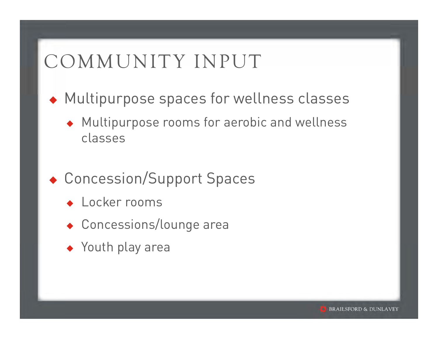- Multipurpose spaces for wellness classes
	- Multipurpose rooms for aerobic and wellness classes
- ◆ Concession/Support Spaces
	- **Locker rooms**
	- Concessions/lounge area
	- ◆ Youth play area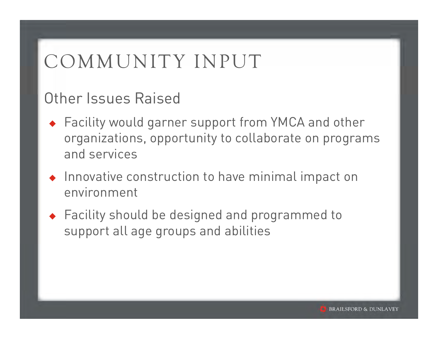### Other Issues Raised

- Facility would garner support from YMCA and other organizations, opportunity to collaborate on programs and services
- $\blacklozenge$  Innovative construction to have minimal impact on environment
- $\blacklozenge$  Facility should be designed and programmed to support all age groups and abilities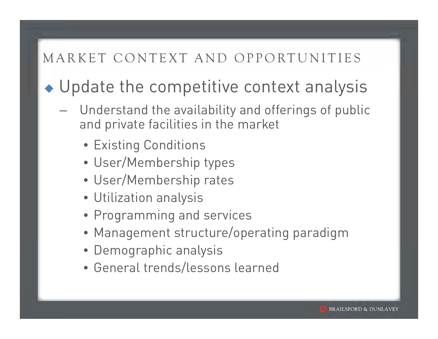## Update the competitive context analysis

- – Understand the availability and offerings of public and private facilities in the market
	- Existing Conditions
	- User/Membership types
	- User/Membership rates
	- Utilization analysis
	- Programming and services
	- Management structure/operating paradigm
	- Demographic analysis
	- General trends/lessons learned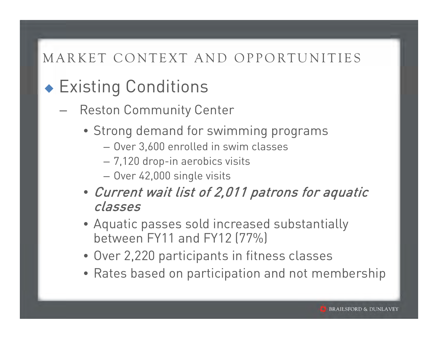## Existing Conditions

- Reston Community Center
	- Strong demand for swimming programs
		- Over 3,600 enrolled in swim classes
		- 7,120 drop-in aerobics visits
		- Over 42,000 single visits
	- Current wait list of 2,011 patrons for aquatic classes
	- Aquatic passes sold increased substantially between FY11 and FY12 (77%)
	- Over 2,220 participants in fitness classes
	- Rates based on participation and not membership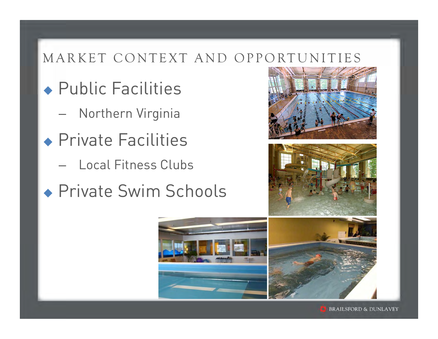- ◆ Public Facilities
	- Northern Virginia
- ◆ Private Facilities
	- Local Fitness Clubs
- ◆ Private Swim Schools







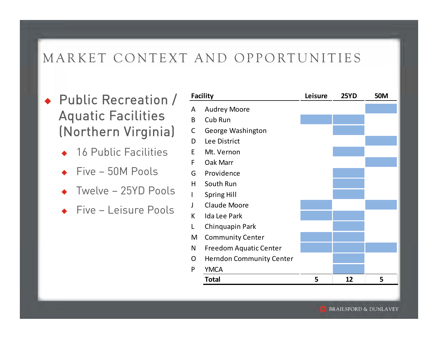- ♦ Public Recreation / Aquatic Facilities (Northern Virginia)
	- ◆ 16 Public Facilities
	- $\div$  Five 50M Pools
	- ◆ Twelve 25YD Pools
	- $\leftarrow$  Five Leisure Pools

| <b>Facility</b> |                                 | Leisure | <b>25YD</b> | <b>50M</b> |
|-----------------|---------------------------------|---------|-------------|------------|
| A               | <b>Audrey Moore</b>             |         |             |            |
| B               | Cub Run                         |         |             |            |
| C               | George Washington               |         |             |            |
| D               | Lee District                    |         |             |            |
| E               | Mt. Vernon                      |         |             |            |
| F               | Oak Marr                        |         |             |            |
| G               | Providence                      |         |             |            |
| H               | South Run                       |         |             |            |
| I               | <b>Spring Hill</b>              |         |             |            |
| J               | Claude Moore                    |         |             |            |
| K.              | <b>Ida Lee Park</b>             |         |             |            |
| L               | Chinquapin Park                 |         |             |            |
| M               | <b>Community Center</b>         |         |             |            |
| N               | <b>Freedom Aquatic Center</b>   |         |             |            |
| O               | <b>Herndon Community Center</b> |         |             |            |
| P               | <b>YMCA</b>                     |         |             |            |
|                 | Total                           | 5       | 12          | 5          |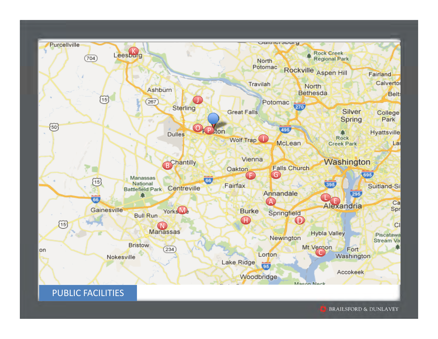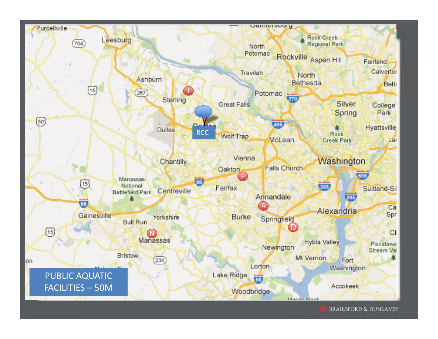

**BRAILSFORD & DUNLAVEY**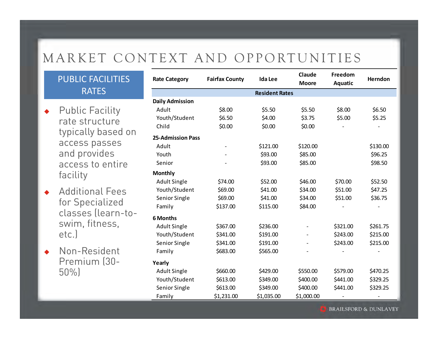#### PUBLIC FACILITIES **RATES**

- ◆ Public Facility rate structure typically based o n access passes and provides access to entire facility
- ◆ Additional Fees for Specialized classes (learn-t oswim, fitness, etc.)
- ◆ Non-Resident Premium (30 50%)

| <b>Rate Category</b>     | <b>Fairfax County</b> | Ida Lee               | Claude<br><b>Moore</b> | Freedom<br><b>Aquatic</b> | <b>Herndon</b> |
|--------------------------|-----------------------|-----------------------|------------------------|---------------------------|----------------|
|                          |                       | <b>Resident Rates</b> |                        |                           |                |
| <b>Daily Admission</b>   |                       |                       |                        |                           |                |
| Adult                    | \$8.00                | \$5.50                | \$5.50                 | \$8.00                    | \$6.50         |
| Youth/Student            | \$6.50                | \$4.00                | \$3.75                 | \$5.00                    | \$5.25         |
| Child                    | \$0.00                | \$0.00                | \$0.00                 |                           |                |
| <b>25-Admission Pass</b> |                       |                       |                        |                           |                |
| Adult                    |                       | \$121.00              | \$120.00               |                           | \$130.00       |
| Youth                    |                       | \$93.00               | \$85.00                |                           | \$96.25        |
| Senior                   |                       | \$93.00               | \$85.00                |                           | \$98.50        |
| <b>Monthly</b>           |                       |                       |                        |                           |                |
| <b>Adult Single</b>      | \$74.00               | \$52.00               | \$46.00                | \$70.00                   | \$52.50        |
| Youth/Student            | \$69.00               | \$41.00               | \$34.00                | \$51.00                   | \$47.25        |
| Senior Single            | \$69.00               | \$41.00               | \$34.00                | \$51.00                   | \$36.75        |
| Family                   | \$137.00              | \$115.00              | \$84.00                |                           |                |
| <b>6 Months</b>          |                       |                       |                        |                           |                |
| <b>Adult Single</b>      | \$367.00              | \$236.00              |                        | \$321.00                  | \$261.75       |
| Youth/Student            | \$341.00              | \$191.00              |                        | \$243.00                  | \$215.00       |
| Senior Single            | \$341.00              | \$191.00              |                        | \$243.00                  | \$215.00       |
| Family                   | \$683.00              | \$565.00              |                        |                           |                |
| Yearly                   |                       |                       |                        |                           |                |
| <b>Adult Single</b>      | \$660.00              | \$429.00              | \$550.00               | \$579.00                  | \$470.25       |
| Youth/Student            | \$613.00              | \$349.00              | \$400.00               | \$441.00                  | \$329.25       |
| Senior Single            | \$613.00              | \$349.00              | \$400.00               | \$441.00                  | \$329.25       |
| Family                   | \$1,231.00            | \$1,035.00            | \$1,000.00             |                           |                |

BRAILSFORD & DUNLAVEY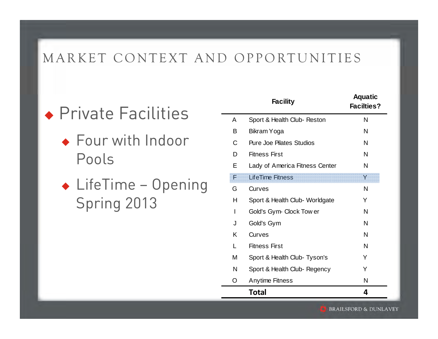### ◆ Private Facilities

- Four with Indoor Pools
- LifeTime Opening Spring 2013

| <b>Facility</b> |                                 | <b>Aquatic</b><br><b>Facilties?</b> |
|-----------------|---------------------------------|-------------------------------------|
| A               | Sport & Health Club- Reston     | N                                   |
| B               | Bikram Yoga                     | N                                   |
| C               | <b>Pure Joe Pilates Studios</b> | N                                   |
| D               | <b>Fitness First</b>            | N                                   |
| E               | Lady of America Fitness Center  | N                                   |
| $\mathsf F$     | <b>LifeTime Fitness</b>         | Y                                   |
| G               | Curves                          | N                                   |
| н               | Sport & Health Club- Worldgate  | Y                                   |
| I               | Gold's Gym-Clock Tow er         | N                                   |
| J               | Gold's Gym                      | N                                   |
| Κ               | Curves                          | N                                   |
| L               | <b>Fitness First</b>            | N                                   |
| М               | Sport & Health Club- Tyson's    | Y                                   |
| N               | Sport & Health Club- Regency    | Y                                   |
| O               | Anytime Fitness                 | N                                   |
|                 | Total                           | 4                                   |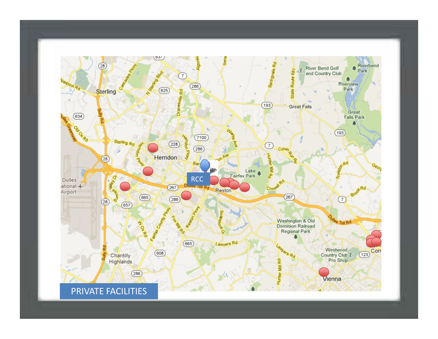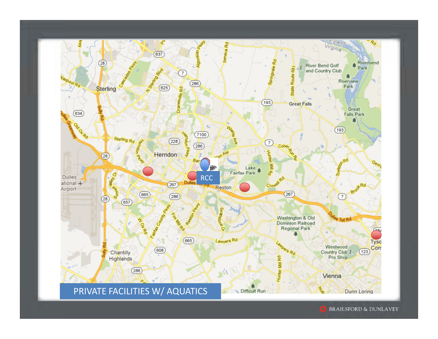

BRAILSFORD & DUNLAVEY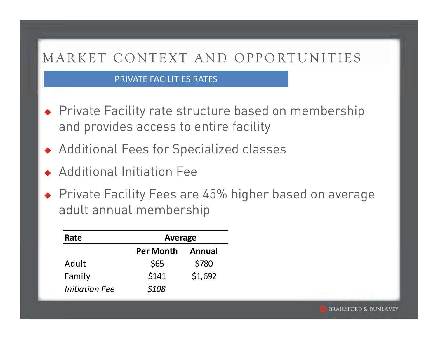#### PRIVATE FACILITIES RATES

- ◆ Private Facility rate structure based on membership and provides access to entire facility
- Additional Fees for Specialized classes
- ♦ Additional Initiation Fee
- ♦ Private Facility Fees are 45% higher based on average adult annual membership

| Rate                  | Average          |               |  |
|-----------------------|------------------|---------------|--|
|                       | <b>Per Month</b> | <b>Annual</b> |  |
| Adult                 | \$65             | \$780         |  |
| Family                | \$141            | \$1,692       |  |
| <b>Initiation Fee</b> | \$108            |               |  |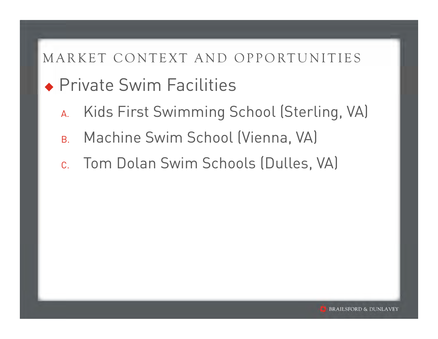## ◆ Private Swim Facilities

- A. Kids First Swimming School (Sterling, VA)
- B. Machine Swim School (Vienna, VA)
- C. Tom Dolan Swim Schools (Dulles, VA)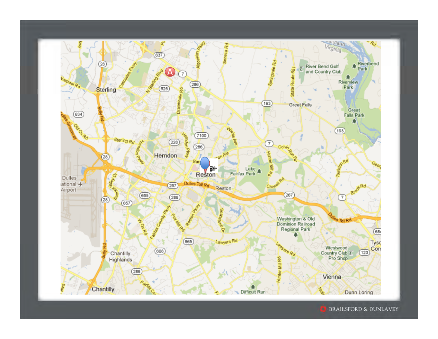

BRAILSFORD & DUNLAVEY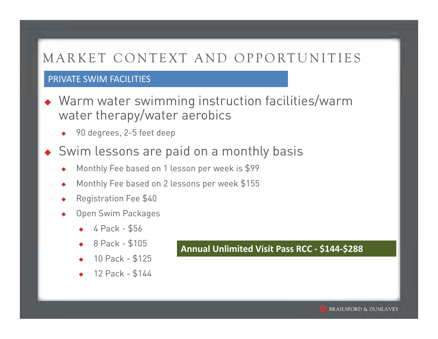#### PRIVATE SWIM FACILITIES

- Warm water swimming instruction facilities/warm water therapy/water aerobics
	- ◆ 90 degrees, 2-5 feet deep

#### ♦ Swim lessons are paid on a monthly basis

- ◆ Monthly Fee based on 1 lesson per week is \$99
- ◆ Monthly Fee based on 2 lessons per week \$155
- ♦ Registration Fee \$40
- ◆ Open Swim Packages
	- $\div$  4 Pack \$56
	- $\triangleleft$  8 Pack \$105
	- ◆ 10 Pack - \$125
	- ◆ 12 Pack - \$144

#### **Annual Unlimited Visit Pass RCC ‐ \$144‐\$288**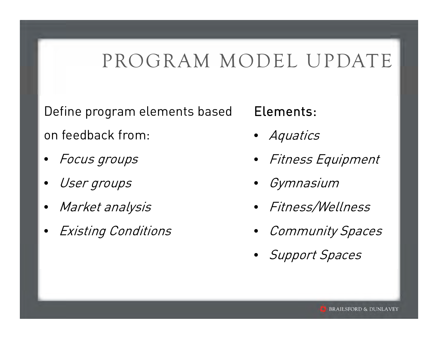## PROGRAM MODEL UPDATE

Define program elements based on feedback from:

- Focus groups
- User groups
- Market analysis
- Existing Conditions

Elements:

- **Aquatics**
- Fitness Equipment
- Gymnasium
- Fitness/Wellness
- Community Spaces
- Support Spaces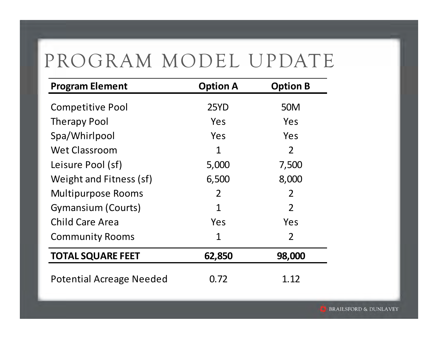## PROGRAM MODEL UPDATE

| <b>Program Element</b>          | <b>Option A</b> | <b>Option B</b> |
|---------------------------------|-----------------|-----------------|
| <b>Competitive Pool</b>         | 25YD            | 50M             |
| <b>Therapy Pool</b>             | Yes             | Yes             |
| Spa/Whirlpool                   | Yes             | Yes             |
| <b>Wet Classroom</b>            | 1               | $\overline{2}$  |
| Leisure Pool (sf)               | 5,000           | 7,500           |
| Weight and Fitness (sf)         | 6,500           | 8,000           |
| <b>Multipurpose Rooms</b>       | 2               | $\overline{2}$  |
| Gymansium (Courts)              | $\mathbf 1$     | $\overline{2}$  |
| <b>Child Care Area</b>          | Yes             | Yes             |
| <b>Community Rooms</b>          | 1               | $\overline{2}$  |
| <b>TOTAL SQUARE FEET</b>        | 62,850          | 98,000          |
| <b>Potential Acreage Needed</b> | 0.72            | 1.12            |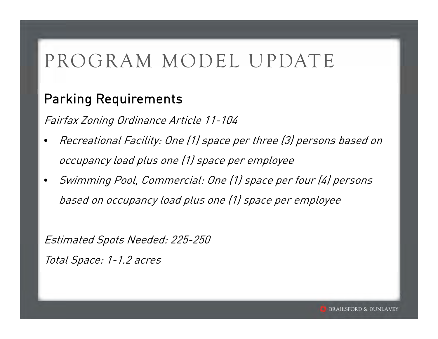## PROGRAM MODEL UPDATE

### Parking Requirements

Fairfax Zoning Ordinance Article 11-104

- • Recreational Facility: One (1) space per three (3) persons based on occupancy load plus one (1) space per employee
- • Swimming Pool, Commercial: One (1) space per four (4) persons based on occupancy load plus one (1) space per employee

Estimated Spots Needed: 225-250 Total Space: 1-1.2 acres

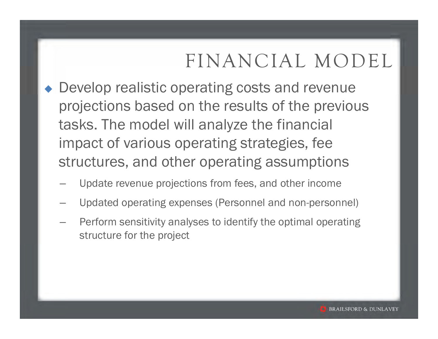## FINANCIAL MODEL

- ♦ Develop realistic operating costs and revenue projections based on the results of the previous tasks. The model will analyze the financial impact of various operating strategies, fee structures, and other operating assumptions
	- Update revenue projections from fees, and other income
	- Updated operating expenses (Personnel and non-personnel)
	- Perform sensitivity analyses to identify the optimal operating structure for the project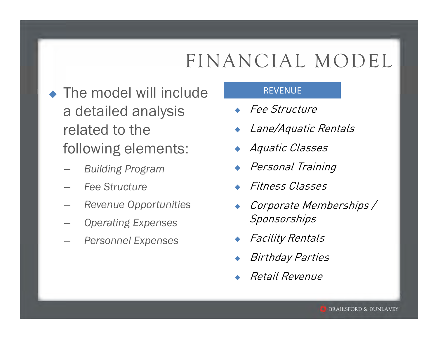## FINANCIAL MODEL

- The model will include a detailed analysis related to the following elements:
	- *Building Program*
	- *Fee Structure*
	- *Revenue Opportunities*
	- *Operating Expenses*
	- *Personnel Expenses*

#### REVENUE

- ♦ Fee Structure
- ♦ Lane/Aquatic Rentals
- ◆ Aquatic Classes
- ◆ Personal Training
- ♦ Fitness Classes
- ♦ Corporate Memberships / Sponsorships
- ♦ Facility Rentals
- ◆ Birthday Parties
- ◆ Retail Revenue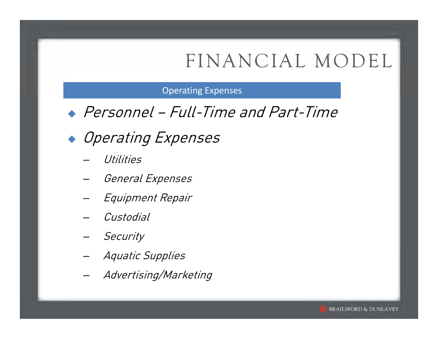## FINANCIAL MODEL

#### Operating Expenses

- Personnel Full-Time and Part-Time
- **Operating Expenses** 
	- Utilities
	- General Expenses
	- Equipment Repair
	- Custodial
	- **Security**
	- Aquatic Supplies
	- Advertising/Marketing